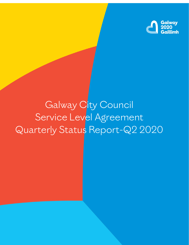

# Galway City Council Service Level Agreement Quarterly Status Report-Q2 2020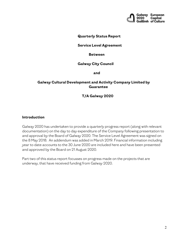

#### **Quarterly Status Report**

#### **Service Level Agreement**

#### **Between**

#### **Galway City Council**

 **and**

#### **Galway Cultural Development and Activity Company Limited by Guarantee**

#### **T/A Galway 2020**

#### **Introduction**

Galway 2020 has undertaken to provide a quarterly progress report (along with relevant documentation) on the day to day expenditure of the Company following presentation to and approval by the Board of Galway 2020. The Service Level Agreement was signed on the 8 May 2018. An addendum was added in March 2019. Financial information including year to date accounts to the 30 June 2020 are included here and have been presented and approved by the Board on 21 August 2020.

Part two of this status report focusses on progress made on the projects that are underway, that have received funding from Galway 2020.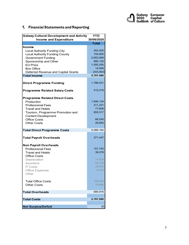

## **1. Financial Statements and Reporting**

| <b>Galway Cultural Development and Activity</b> | <b>YTD</b>   |
|-------------------------------------------------|--------------|
| <b>Income and Expenditure</b>                   | 30/06/2020   |
|                                                 | <b>Total</b> |
| <b>Income</b>                                   |              |
| <b>Local Authority Funding City</b>             | 302,200      |
| <b>Local Authority Funding County</b>           | 744,600      |
| <b>Government Funding</b>                       | 2,653,069    |
| Sponsorship and Other                           | 895,125      |
| <b>FU</b> Prize                                 | 1,500,200    |
| <b>Box Office</b>                               | 14,949       |
| Deferred Revenue and Capital Grants             | (343,063)    |
| <b>Total Income</b>                             | 5,767,080    |
| <b>Direct Programme Funding</b>                 | 1,786,531    |
|                                                 |              |
| <b>Programme Related Salary Costs</b>           | 412,216      |
| <b>Programme Related Direct Costs</b>           |              |
| Production                                      | 1,846,134    |
| <b>Professional Fees</b>                        | 211,221      |
| <b>Travel and Hotels</b>                        | 77,608       |
| Tourism, Programme Promotion and                | 655,517      |
| <b>Content Development</b>                      |              |
| <b>Office Costs</b>                             | 68,245       |
| <b>Other Costs</b>                              | 28,693       |
|                                                 |              |
| <b>Total Direct Programme Costs</b>             | 5,086,164    |
| <b>Total Payroll Overheads</b>                  | 371,447      |
| <b>Non Payroll Overheads</b>                    |              |
| <b>Professional Fees</b>                        | 101,743      |
| <b>Travel and Hotels</b>                        | 38,278       |
| <b>Office Costs</b>                             |              |
| Depreciation                                    | 13,839       |
| Insurance                                       | 54,728       |
| <b>IT Costs</b>                                 | 29,502       |
| Office Expenses                                 | 6,543        |
| Other                                           |              |
| Total Office Costs                              | 158,553      |
| <b>Other Costs</b>                              | 10,895       |
|                                                 |              |
| <b>Total Overheads</b>                          | 680,916      |
| <b>Total Costs</b>                              | 5,767,080    |
|                                                 |              |
| <b>Net Surplus/Deficit</b>                      | (0)          |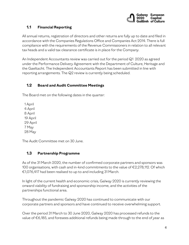

## **1.1 Financial Reporting**

All annual returns, registration of directors and other returns are fully up to date and filed in accordance with the Companies Regulations Office and Companies Act 2014. There is full compliance with the requirements of the Revenue Commissioners in relation to all relevant tax heads and a valid tax clearance certificate is in place for the Company.

An Independent Accountants review was carried out for the period Q1 2020 as agreed under the Performance Delivery Agreement with the Department of Culture, Heritage and the Gaeltacht. The Independent Accountants Report has been submitted in line with reporting arrangements. The Q2 review is currently being scheduled.

# **1.2 Board and Audit Committee Meetings**

The Board met on the following dates in the quarter:

1 April 4 April 8 April 19 April 29 April 7 May 28 May

The Audit Committee met on 30 June.

### **1.3 Partnership Programme**

As of the 31 March 2020, the number of confirmed corporate partners and sponsors was 100 organisations, with cash and in-kind commitments to the value of  $\epsilon$ 2,278,112. Of which €1,076,417 had been realised to up to and including 31 March.

In light of the current health and economic crisis, Galway 2020 is currently reviewing the onward viability of fundraising and sponsorship income, and the activities of the partnerships functional area.

Throughout the pandemic Galway 2020 has continued to communicate with our corporate partners and sponsors and have continued to receive overwhelming support.

Over the period 31 March to 30 June 2020, Galway 2020 has processed refunds to the value of €6,185, and foresees additional refunds being made through to the end of year as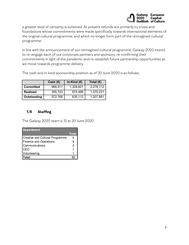

a greater level of certainty is achieved. At present refunds are primarily to trusts and foundations whose commitments were made specifically towards international elements of the original cultural programme, and which no longer form part of the reimagined cultural programme.

In line with the announcement of our reimagined cultural programme, Galway 2020 intend to re-engage each of our corporate partners and sponsors, re-confirming their commitments in light of the pandemic and re-establish future partnership opportunities as we move towards programme delivery.

The cash and in-kind sponsorship position as of 30 June 2020 is as follows;

|                  | Cash $(E)$ | In-Kind (€) | Total $(€)$ |
|------------------|------------|-------------|-------------|
| <b>Committed</b> | 968,511    | 1,309,601   | 2,278,112   |
| <b>Realised</b>  | 395,743    | 674,488     | 1.070.231   |
| Outstanding      | 572,768    | 635,113     | 1,207,881   |

## **1.4 Staffing**

The Galway 2020 team is 12 at 30 June 2020

| <b>Department</b>                      |              |
|----------------------------------------|--------------|
|                                        | <b>Total</b> |
| <b>Creative and Cultural Programme</b> |              |
| <b>Finance and Operations</b>          |              |
| Communications                         | 2            |
| <b>CEO</b>                             |              |
| Volunteering                           |              |
| Total                                  |              |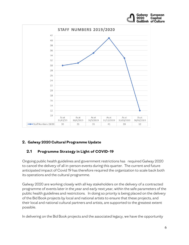

# **2. Galway 2020 Cultural Programme Update**

# **2.1 Programme Strategy in Light of COVID-19**

Ongoing public health guidelines and government restrictions has required Galway 2020 to cancel the delivery of all in-person events during this quarter. The current and future anticipated impact of Covid 19 has therefore required the organization to scale back both its operations and the cultural programme.

Galway 2020 are working closely with all key stakeholders on the delivery of a contracted programme of events later in the year and early next year, within the safe parameters of the public health guidelines and restrictions. In doing so priority is being placed on the delivery of the Bid Book projects by local and national artists to ensure that these projects, and their local and national cultural partners and artists, are supported to the greatest extent possible.

In delivering on the Bid Book projects and the associated legacy, we have the opportunity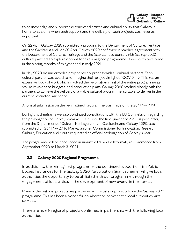

to acknowledge and support the renowned artistic and cultural ability that Galway is home to at a time when such support and the delivery of such projects was never as important.

On 22 April Galway 2020 submitted a proposal to the Department of Culture, Heritage and the Gaeltacht and. on 30 April Galway 2020 confirmed it reached agreement with the Department of Culture, Heritage and the Gaeltacht to consult with Galway 2020 cultural partners to explore options for a re-imagined programme of events to take place in the closing months of this year and in early 2021

In May 2020 we undertook a project review process with all cultural partners. Each cultural partner was asked to re-imagine their project in light of COVID- 19. This was an extensive body of work which involved the re-programming of the entire programme as well as revisions to budgets and production plans. Galway 2020 worked closely with the partners to achieve the delivery of a viable cultural programme, suitable to deliver in the current restricted landscape..

A formal submission on the re-imagined programme was made on the 28<sup>th</sup> May 2020.

During this timeframe we also continued consultations with the EU Commission regarding the prolongation of Galway's year as ECOC into the first quarter of 2021. A joint letter, from the Department of Culture, Heritage and the Gaeltacht and Galway 2020, was submitted on 26<sup>th</sup> May 20 to Mariya Gabriel, Commissioner for Innovation, Research, Culture, Education and Youth requested an official prolongation of Galway's year.

The programme will be announced in August 2020 and will formally re-commence from September 2020 to March 31 2021.

# **2.2 Galway 2020 Regional Programme**

In addition to the reimagined programme, the continued support of Irish Public Bodies Insurances for the Galway 2020 Participation Grant scheme, will give local authorities the opportunity to be affiliated with our programme through the engagement of local artists in the development of new events in their areas.

Many of the regional projects are partnered with artists or projects from the Galway 2020 programme. This has been a wonderful collaboration between the local authorities' arts services.

There are now 9 regional projects confirmed in partnership with the following local authorities;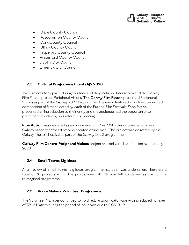

- Clare County Council
- Roscommon County Council
- Cork County Council
- Offaly County Council
- Tipperary County Council
- Waterford County Council
- Dublin City Council
- Limerick City Council

## **2.3 Cultural Programme Events Q2 2020**

Two projects took place during this time and they included InterAction and the Galway Film Fleadh project Peripheral Visions. The Galway Film Fleadh presented Peripheral Visions as part of the Galway 2020 Programme. The event featured an online co-curated competition of films selected by each of the [Europa Film Festivals.](https://www.galwayfilmfleadh.com/industry-the-galway-film-fair/eff/) Each festival presented an introduction to their entry and the audience had the opportunity to participate in online Q&As after the screening.

**InterAction** was delivered as an online event in May 2020- this involved a number of Galway based theatre artists who created online work. The project was delivered by the Galway Theatre Festival as part of the Galway 2020 programme.

**Galway Film Centre-Peripheral Visions** project was delivered as an online event in July 2020

### **2.4 Small Towns Big Ideas**

A full review of Small Towns, Big Ideas programme has been was undertaken. There are a total of 78 projects within the programme with 39 now left to deliver as part of the reimagined programme.

### **2.5 Wave Makers Volunteer Programme**

The Volunteer Manager continued to hold regular zoom catch-ups with a reduced number of Wave Makers during the period of lockdown due to COVID-19.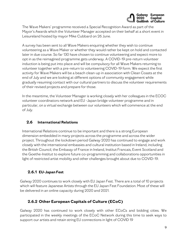

The Wave Makers' programme received a Special Recognition Award as part of the Mayor's Awards which the Volunteer Manager accepted on their behalf at a short event in Leisureland hosted by mayor Mike Cubbard on 26 June.

A survey has been sent to all Wave Makers enquiring whether they wish to continue volunteering as a Wave Maker or whether they would rather be kept on hold and contacted later in due course. So far 130 have chosen to continue volunteering and expect more to opt in as the reimagined programme gets underway. A COVID-19 pre-return volunteer induction is being put into place and will be compulsory for all Wave Makers returning to volunteer together with a pre-return to volunteering COVID-19 form. We expect the first activity for Wave Makers will be a beach clean-up in association with Clean Coasts at the end of July and we are looking at different options of community engagement while gradually resuming contact with our cultural partners to discuss the volunteer requirements of their revised projects and prepare for those.

In the meantime, the Volunteer Manager is working closely with her colleagues in the ECOC volunteer coordinators network and EU -Japan bridge volunteer programme and in particular, on a virtual exchange between our volunteers which will commence at the end of July.

## **2.6 International Relations**

International Relations continue to be important and there is a strong European dimension embedded in many projects across the programme and across the wider project. Throughout the lockdown period Galway 2020 has continued to engage and work closely with the international embassies and cultural institution based in Ireland, including the British Council, the Embassy of France in Ireland, Institut Francais, Event Scotland and the Goethe-Institut to explore future co-programming and collaborations opportunities in light of restricted artist mobility and other challenges brought about due to COVID-19.

# **2.6.1 EU-Japan Fest**

Galway 2020 continues to work closely with EU Japan Fest. There are a total of 10 projects which will feature Japanese Artists through the EU Japan Fest Foundation. Most of these will be delivered in an online capacity during 2020 and 2021.

# **2.6.2 Other European Capitals of Culture (ECoC)**

Galway 2020 has continued to work closely with other ECoCs and bidding cities. We participated in the weekly meetings of the ECoC Network during this time to seek ways to support our artists and retain string EU connections in light of COVID 19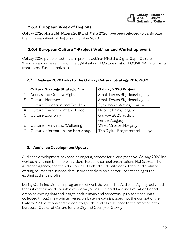

## **2.6.3 European Week of Regions**

Galway 2020 along with Matera 2019 and Rijeka 2020 have been selected to participate in the European Week of Regions in October 2020

## **2.6.4 European Culture Y-Project Webinar and Workshop event**

Galway 2020 participated in the Y-project webinar Mind the Digital Gap - Culture Webinar- an online seminar on the digitalisation of Culture in light of COVID 19. Participants from across Europe took part.

|  | 2.7 Galway 2020 Links to The Galway Cultural Strategy 2016-2025 |  |  |
|--|-----------------------------------------------------------------|--|--|
|--|-----------------------------------------------------------------|--|--|

|              | <b>Cultural Strategy Strategic Aim</b> | Galway 2020 Project          |
|--------------|----------------------------------------|------------------------------|
|              | Access and Cultural Rights             | Small Towns Big Ideas/Legacy |
| $\mathbf{2}$ | Cultural Heritage                      | Small Towns Big Ideas/Legacy |
| 3            | Culture Education and Excellence       | Symphonic Waves/Legacy       |
| 4            | Culture Environment and Place          | Hope It Rains/Legacy         |
| 5            | Culture Economy                        | Galway 2020 audit of         |
|              |                                        | venues/Legacy                |
| 6            | Culture, Health and Wellbeing          | Wires Crossed/Legacy         |
|              | Culture Information and Knowledge      | The Digital Programme/Legacy |

### **3. Audience Development Update**

.

Audience development has been an ongoing process for over a year now. Galway 2020 has worked with a number of organisations, including cultural organisations, NUI Galway, The Audience Agency, and the Arts Council of Ireland to identify, consolidate and evaluate existing sources of audience data, in order to develop a better understanding of the existing audience profile.

During Q2, in line with their programme of work delivered The Audience Agency delivered the first of their key deliverables to Galway 2020. The draft Baseline Evaluation Report draws on existing data and insight, both primary and contextual, plus additional data collected through new primary research. Baseline data is placed into the context of the Galway 2020 outcomes framework to give the findings relevance to the ambition of the European Capital of Culture for the City and County of Galway.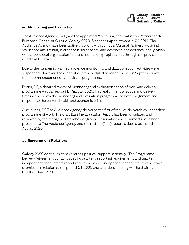

#### **4. Monitoring and Evaluation**

The Audience Agency (TAA) are the appointed Monitoring and Evaluation Partner for the European Capital of Culture, Galway 2020. Since their appointment in Q4 2019, The Audience Agency have been actively working with our local Cultural Partners providing workshops and training in order to build capacity and develop a competency locally which will support local organisation in future with funding applications, through the provision of quantifiable data.

Due to the pandemic planned audience monitoring, and data collection activities were suspended. However, these activities are scheduled to recommence in September with the recommencement of the cultural programme.

During Q2, a detailed review of monitoring and evaluation scope of work and delivery programme was carried out by Galway 2020. This realignment or scope and delivery timelines will allow the monitoring and evaluation programme to better alignment and respond to the current health and economic crisis.

Also, during Q2 The Audience Agency delivered the first of the key deliverables under their programme of work. The draft Baseline Evaluation Report has been circulated and reviewed by the recognised stakeholder group. Observation and comments have been provided to The Audience Agency and the revised (final) report is due to be issued in August 2020.

#### **5. Government Relations**

Galway 2020 continues to have strong political support nationally. The Programme Delivery Agreement contains specific quarterly reporting requirements and quarterly independent accountants report requirements. An independent accountants report was submitted in relation to the period Q1 2020 and a funders meeting was held with the DCHG in June 2020.